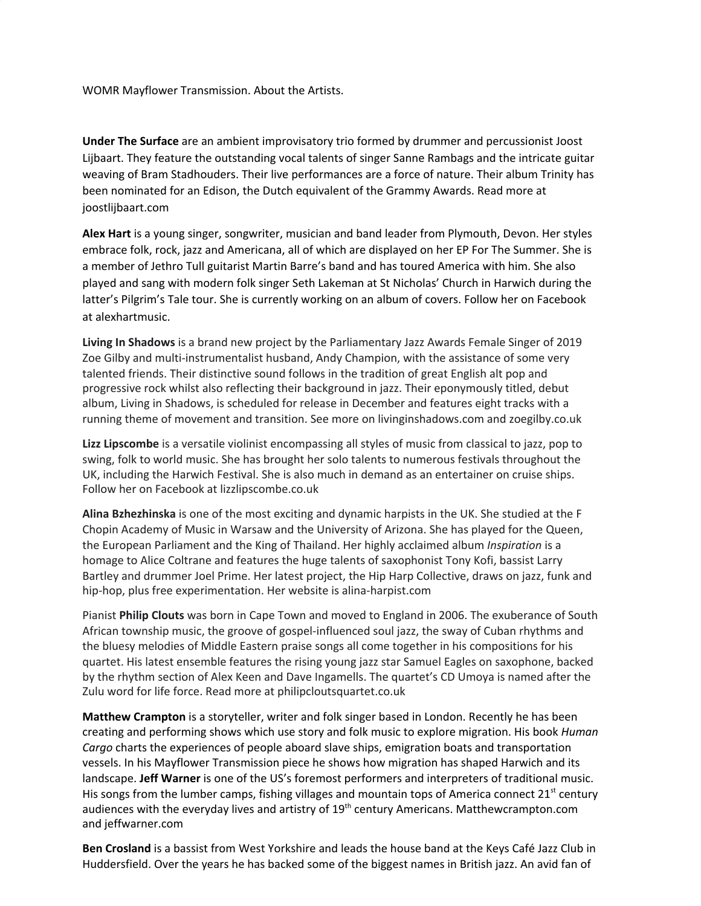WOMR Mayflower Transmission. About the Artists.

**Under The Surface** are an ambient improvisatory trio formed by drummer and percussionist Joost Lijbaart. They feature the outstanding vocal talents of singer Sanne Rambags and the intricate guitar weaving of Bram Stadhouders. Their live performances are a force of nature. Their album Trinity has been nominated for an Edison, the Dutch equivalent of the Grammy Awards. Read more at joostlijbaart.com

**Alex Hart** is a young singer, songwriter, musician and band leader from Plymouth, Devon. Her styles embrace folk, rock, jazz and Americana, all of which are displayed on her EP For The Summer. She is a member of Jethro Tull guitarist Martin Barre's band and has toured America with him. She also played and sang with modern folk singer Seth Lakeman at St Nicholas' Church in Harwich during the latter's Pilgrim's Tale tour. She is currently working on an album of covers. Follow her on Facebook at alexhartmusic.

**Living In Shadows** is a brand new project by the Parliamentary Jazz Awards Female Singer of 2019 Zoe Gilby and multi-instrumentalist husband, Andy Champion, with the assistance of some very talented friends. Their distinctive sound follows in the tradition of great English alt pop and progressive rock whilst also reflecting their background in jazz. Their eponymously titled, debut album, Living in Shadows, is scheduled for release in December and features eight tracks with a running theme of movement and transition. See more on livinginshadows.com and zoegilby.co.uk

**Lizz Lipscombe** is a versatile violinist encompassing all styles of music from classical to jazz, pop to swing, folk to world music. She has brought her solo talents to numerous festivals throughout the UK, including the Harwich Festival. She is also much in demand as an entertainer on cruise ships. Follow her on Facebook at lizzlipscombe.co.uk

**Alina Bzhezhinska** is one of the most exciting and dynamic harpists in the UK. She studied at the F Chopin Academy of Music in Warsaw and the University of Arizona. She has played for the Queen, the European Parliament and the King of Thailand. Her highly acclaimed album *Inspiration* is a homage to Alice Coltrane and features the huge talents of saxophonist Tony Kofi, bassist Larry Bartley and drummer Joel Prime. Her latest project, the Hip Harp Collective, draws on jazz, funk and hip-hop, plus free experimentation. Her website is alina-harpist.com

Pianist **Philip Clouts** was born in Cape Town and moved to England in 2006. The exuberance of South African township music, the groove of gospel-influenced soul jazz, the sway of Cuban rhythms and the bluesy melodies of Middle Eastern praise songs all come together in his compositions for his quartet. His latest ensemble features the rising young jazz star Samuel Eagles on saxophone, backed by the rhythm section of Alex Keen and Dave Ingamells. The quartet's CD Umoya is named after the Zulu word for life force. Read more at philipcloutsquartet.co.uk

**Matthew Crampton** is a storyteller, writer and folk singer based in London. Recently he has been creating and performing shows which use story and folk music to explore migration. His book *Human Cargo* charts the experiences of people aboard slave ships, emigration boats and transportation vessels. In his Mayflower Transmission piece he shows how migration has shaped Harwich and its landscape. **Jeff Warner** is one of the US's foremost performers and interpreters of traditional music. His songs from the lumber camps, fishing villages and mountain tops of America connect  $21^{st}$  century audiences with the everyday lives and artistry of 19<sup>th</sup> century Americans. Matthewcrampton.com and jeffwarner.com

**Ben Crosland** is a bassist from West Yorkshire and leads the house band at the Keys Café Jazz Club in Huddersfield. Over the years he has backed some of the biggest names in British jazz. An avid fan of